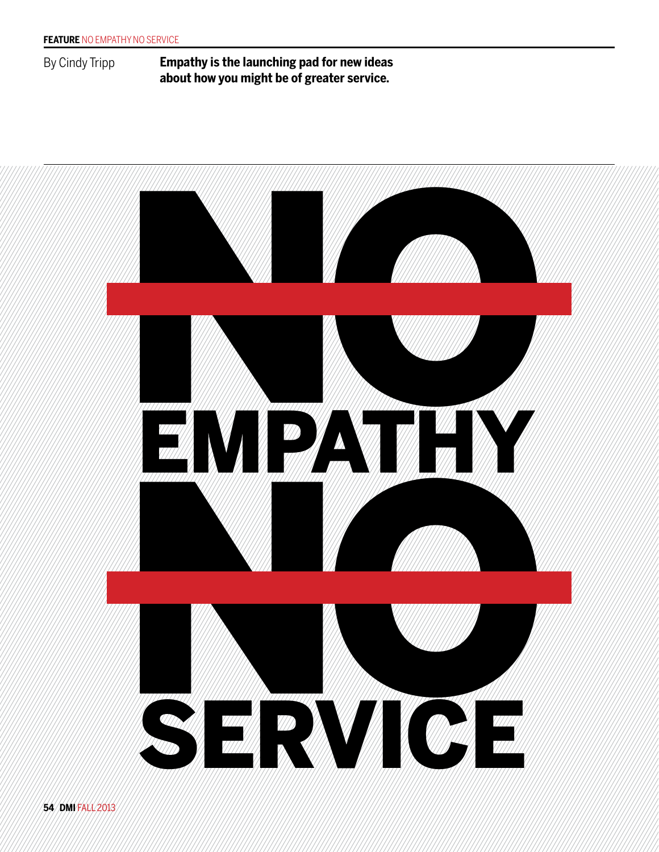By Cindy Tripp **Empathy is the launching pad for new ideas about how you might be of greater service.**

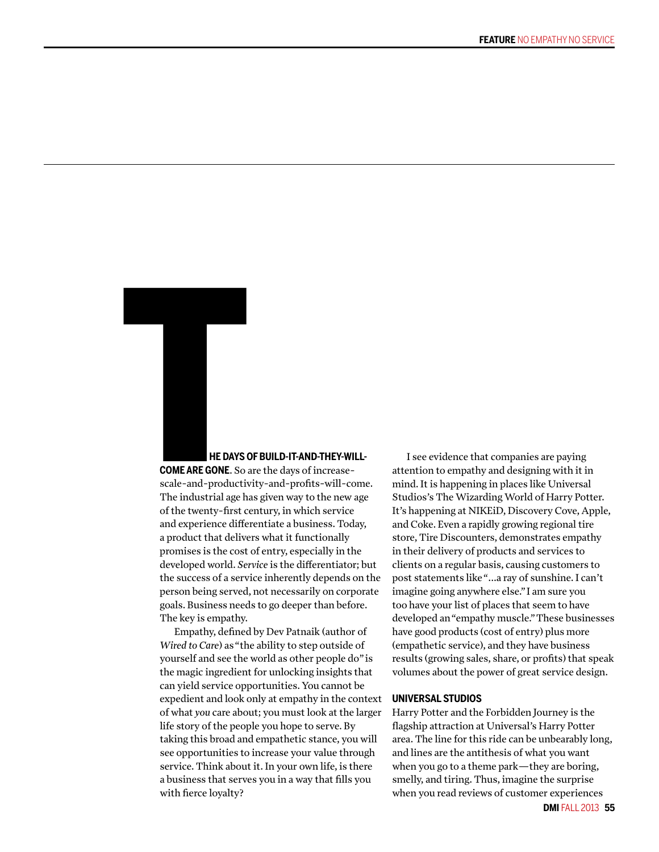# **HE DAYS OF BUILD-IT-AND-THEY-WILL-**

**COME ARE GONE**. So are the days of increasescale-and-productivity-and-profits-will-come. The industrial age has given way to the new age of the twenty-first century, in which service and experience differentiate a business. Today, a product that delivers what it functionally promises is the cost of entry, especially in the developed world. Service is the differentiator; but the success of a service inherently depends on the person being served, not necessarily on corporate goals. Business needs to go deeper than before. The key is empathy. HE DAYS (<br>
HE DAYS (<br>
COME ARE GONE. So<br>
scale-and-productive<br>
The industrial age h

> Empathy, defined by Dev Patnaik (author of *Wired to Care*) as "the ability to step outside of yourself and see the world as other people do" is the magic ingredient for unlocking insights that can yield service opportunities. You cannot be expedient and look only at empathy in the context of what *you* care about; you must look at the larger life story of the people you hope to serve. By taking this broad and empathetic stance, you will see opportunities to increase your value through service. Think about it. In your own life, is there a business that serves you in a way that fills you with fierce loyalty?

I see evidence that companies are paying attention to empathy and designing with it in mind. It is happening in places like Universal Studios's The Wizarding World of Harry Potter. It's happening at NIKEiD, Discovery Cove, Apple, and Coke. Even a rapidly growing regional tire store, Tire Discounters, demonstrates empathy in their delivery of products and services to clients on a regular basis, causing customers to post statements like "...a ray of sunshine. I can't imagine going anywhere else." I am sure you too have your list of places that seem to have developed an "empathy muscle." These businesses have good products (cost of entry) plus more (empathetic service), and they have business results (growing sales, share, or profits) that speak volumes about the power of great service design.

# **UNIVERSAL STUDIOS**

Harry Potter and the Forbidden Journey is the flagship attraction at Universal's Harry Potter area. The line for this ride can be unbearably long, and lines are the antithesis of what you want when you go to a theme park—they are boring, smelly, and tiring. Thus, imagine the surprise when you read reviews of customer experiences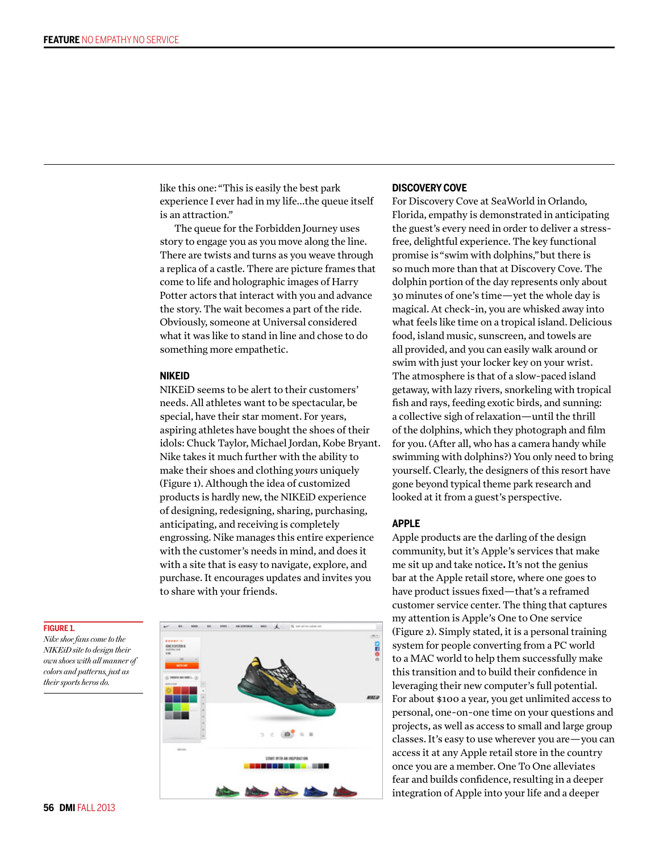like this one: "This is easily the best park experience I ever had in my life...the queue itself is an attraction."

The queue for the Forbidden Journey uses story to engage you as you move along the line. There are twists and turns as you weave through a replica of a castle. There are picture frames that come to life and holographic images of Harry Potter actors that interact with you and advance the story. The wait becomes a part of the ride. Obviously, someone at Universal considered what it was like to stand in line and chose to do something more empathetic.

# **NIKEID**

NIKEiD seems to be alert to their customers' needs. All athletes want to be spectacular, be special, have their star moment. For years, aspiring athletes have bought the shoes of their idols: Chuck Taylor, Michael Jordan, Kobe Bryant. Nike takes it much further with the ability to make their shoes and clothing *yours* uniquely (Figure 1). Although the idea of customized products is hardly new, the NIKEiD experience of designing, redesigning, sharing, purchasing, anticipating, and receiving is completely engrossing. Nike manages this entire experience with the customer's needs in mind, and does it with a site that is easy to navigate, explore, and purchase. It encourages updates and invites you to share with your friends.

# $\alpha$

# **DISCOVERY COVE**

For Discovery Cove at SeaWorld in Orlando, Florida, empathy is demonstrated in anticipating the guest's every need in order to deliver a stressfree, delightful experience. The key functional promise is "swim with dolphins," but there is so much more than that at Discovery Cove. The dolphin portion of the day represents only about 30 minutes of one's time—yet the whole day is magical. At check-in, you are whisked away into what feels like time on a tropical island. Delicious food, island music, sunscreen, and towels are all provided, and you can easily walk around or swim with just your locker key on your wrist. The atmosphere is that of a slow-paced island getaway, with lazy rivers, snorkeling with tropical fish and rays, feeding exotic birds, and sunning: a collective sigh of relaxation—until the thrill of the dolphins, which they photograph and film for you. (After all, who has a camera handy while swimming with dolphins?) You only need to bring yourself. Clearly, the designers of this resort have gone beyond typical theme park research and looked at it from a guest's perspective.

# **APPLE**

Apple products are the darling of the design community, but it's Apple's services that make me sit up and take notice**.** It's not the genius bar at the Apple retail store, where one goes to have product issues fixed—that's a reframed customer service center. The thing that captures my attention is Apple's One to One service (Figure 2). Simply stated, it is a personal training system for people converting from a PC world to a MAC world to help them successfully make this transition and to build their confidence in leveraging their new computer's full potential. For about \$100 a year, you get unlimited access to personal, one-on-one time on your questions and projects, as well as access to small and large group classes. It's easy to use wherever you are—you can access it at any Apple retail store in the country once you are a member. One To One alleviates fear and builds confidence, resulting in a deeper integration of Apple into your life and a deeper

## **FIGURE 1.**

*Nike shoe fans come to the NIKEiD site to design their own shoes with all manner of colors and patterns, just as their sports heros do.*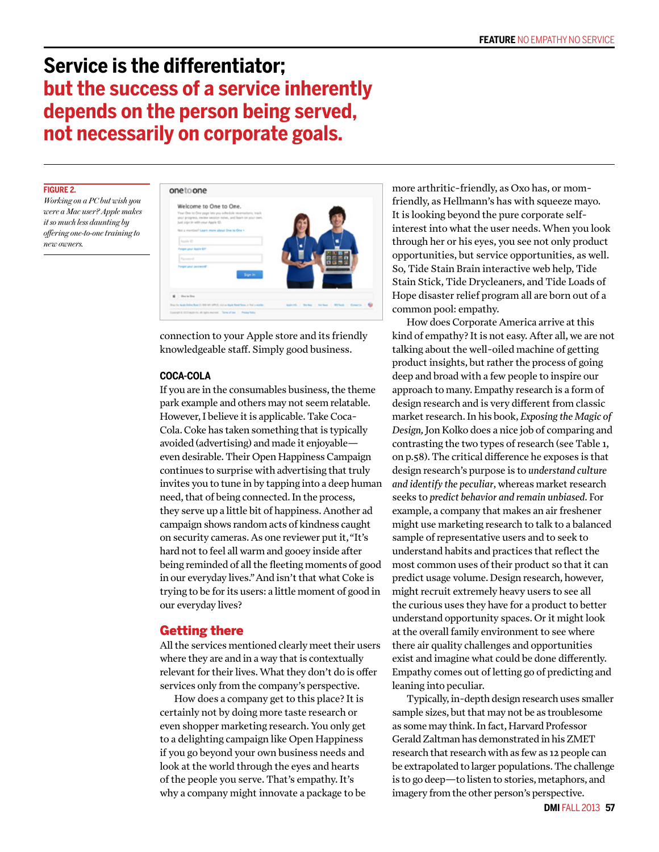# **Service is the di!erentiator; but the success of a service inherently depends on the person being served, not necessarily on corporate goals.**

# **FIGURE 2.**

*Working on a PC but wish you were a Mac user? Apple makes it so much less daunting by offering one-to-one training to new owners.*



connection to your Apple store and its friendly knowledgeable staff. Simply good business.

# **COCA-COLA**

If you are in the consumables business, the theme park example and others may not seem relatable. However, I believe it is applicable. Take Coca-Cola. Coke has taken something that is typically avoided (advertising) and made it enjoyable even desirable. Their Open Happiness Campaign continues to surprise with advertising that truly invites you to tune in by tapping into a deep human need, that of being connected. In the process, they serve up a little bit of happiness. Another ad campaign shows random acts of kindness caught on security cameras. As one reviewer put it, "It's hard not to feel all warm and gooey inside after being reminded of all the fleeting moments of good in our everyday lives." And isn't that what Coke is trying to be for its users: a little moment of good in our everyday lives?

# Getting there

All the services mentioned clearly meet their users where they are and in a way that is contextually relevant for their lives. What they don't do is offer services only from the company's perspective.

How does a company get to this place? It is certainly not by doing more taste research or even shopper marketing research. You only get to a delighting campaign like Open Happiness if you go beyond your own business needs and look at the world through the eyes and hearts of the people you serve. That's empathy. It's why a company might innovate a package to be more arthritic-friendly, as Oxo has, or momfriendly, as Hellmann's has with squeeze mayo. It is looking beyond the pure corporate selfinterest into what the user needs. When you look through her or his eyes, you see not only product opportunities, but service opportunities, as well. So, Tide Stain Brain interactive web help, Tide Stain Stick, Tide Drycleaners, and Tide Loads of Hope disaster relief program all are born out of a common pool: empathy.

How does Corporate America arrive at this kind of empathy? It is not easy. After all, we are not talking about the well-oiled machine of getting product insights, but rather the process of going deep and broad with a few people to inspire our approach to many. Empathy research is a form of design research and is very different from classic market research. In his book, *Exposing the Magic of Design,* Jon Kolko does a nice job of comparing and contrasting the two types of research (see Table 1, on p.58). The critical difference he exposes is that design research's purpose is to *understand culture and identify the peculiar*, whereas market research seeks to *predict behavior and remain unbiased.* For example, a company that makes an air freshener might use marketing research to talk to a balanced sample of representative users and to seek to understand habits and practices that reflect the most common uses of their product so that it can predict usage volume. Design research, however, might recruit extremely heavy users to see all the curious uses they have for a product to better understand opportunity spaces. Or it might look at the overall family environment to see where there air quality challenges and opportunities exist and imagine what could be done differently. Empathy comes out of letting go of predicting and leaning into peculiar.

Typically, in-depth design research uses smaller sample sizes, but that may not be as troublesome as some may think. In fact, Harvard Professor Gerald Zaltman has demonstrated in his ZMET research that research with as few as 12 people can be extrapolated to larger populations. The challenge is to go deep—to listen to stories, metaphors, and imagery from the other person's perspective.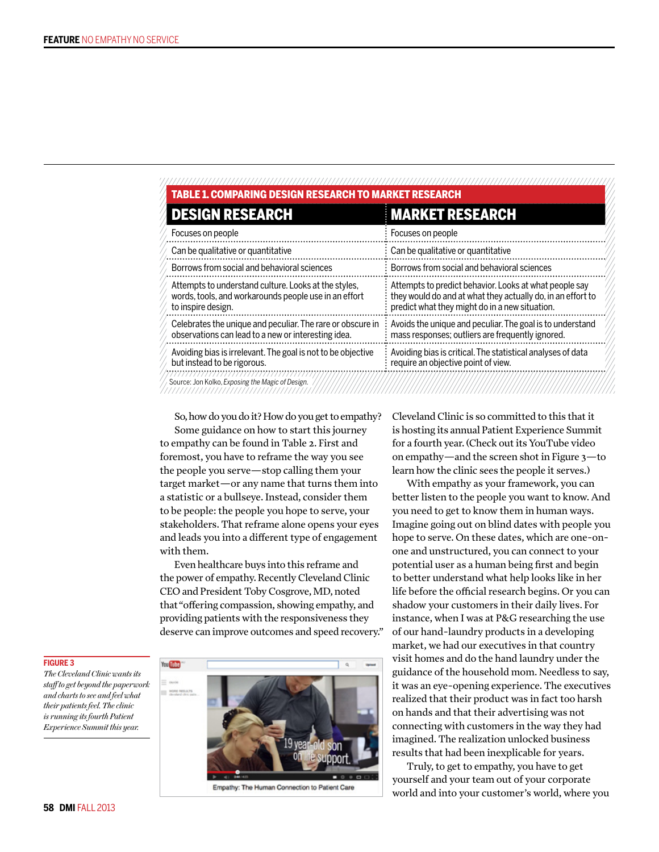| <b>DESIGN RESEARCH</b>                                                                                                              | <b>MARKET RESEARCH</b>                                                                                                                                                  |  |
|-------------------------------------------------------------------------------------------------------------------------------------|-------------------------------------------------------------------------------------------------------------------------------------------------------------------------|--|
| Focuses on people                                                                                                                   | Focuses on people                                                                                                                                                       |  |
| Can be qualitative or quantitative                                                                                                  | Can be qualitative or quantitative                                                                                                                                      |  |
| Borrows from social and behavioral sciences                                                                                         | Borrows from social and behavioral sciences                                                                                                                             |  |
| Attempts to understand culture. Looks at the styles,<br>words, tools, and workarounds people use in an effort<br>to inspire design. | Attempts to predict behavior. Looks at what people say<br>they would do and at what they actually do, in an effort to<br>predict what they might do in a new situation. |  |
| Celebrates the unique and peculiar. The rare or obscure in<br>observations can lead to a new or interesting idea.                   | Avoids the unique and peculiar. The goal is to understand<br>mass responses; outliers are frequently ignored.                                                           |  |
| Avoiding bias is irrelevant. The goal is not to be objective<br>but instead to be rigorous.                                         | Avoiding bias is critical. The statistical analyses of data<br>require an objective point of view.                                                                      |  |

So, how do you do it? How do you get to empathy? Some guidance on how to start this journey

to empathy can be found in Table 2. First and foremost, you have to reframe the way you see the people you serve—stop calling them your target market—or any name that turns them into a statistic or a bullseye. Instead, consider them to be people: the people you hope to serve, your stakeholders. That reframe alone opens your eyes and leads you into a different type of engagement with them.

Even healthcare buys into this reframe and the power of empathy. Recently Cleveland Clinic CEO and President Toby Cosgrove, MD, noted that "offering compassion, showing empathy, and providing patients with the responsiveness they deserve can improve outcomes and speed recovery."

You Like

Empathy: The Human Connection to Patient Care

Cleveland Clinic is so committed to this that it is hosting its annual Patient Experience Summit for a fourth year. (Check out its YouTube video on empathy—and the screen shot in Figure 3—to learn how the clinic sees the people it serves.)

With empathy as your framework, you can better listen to the people you want to know. And you need to get to know them in human ways. Imagine going out on blind dates with people you hope to serve. On these dates, which are one-onone and unstructured, you can connect to your potential user as a human being first and begin to better understand what help looks like in her life before the official research begins. Or you can shadow your customers in their daily lives. For instance, when I was at P&G researching the use of our hand-laundry products in a developing market, we had our executives in that country visit homes and do the hand laundry under the guidance of the household mom. Needless to say, it was an eye-opening experience. The executives realized that their product was in fact too harsh on hands and that their advertising was not connecting with customers in the way they had imagined. The realization unlocked business results that had been inexplicable for years.

Truly, to get to empathy, you have to get yourself and your team out of your corporate world and into your customer's world, where you

**FIGURE 3**

*The Cleveland Clinic wants its staff to get beyond the paperwork and charts to see and feel what their patients feel. The clinic is running its fourth Patient Experience Summit this year.*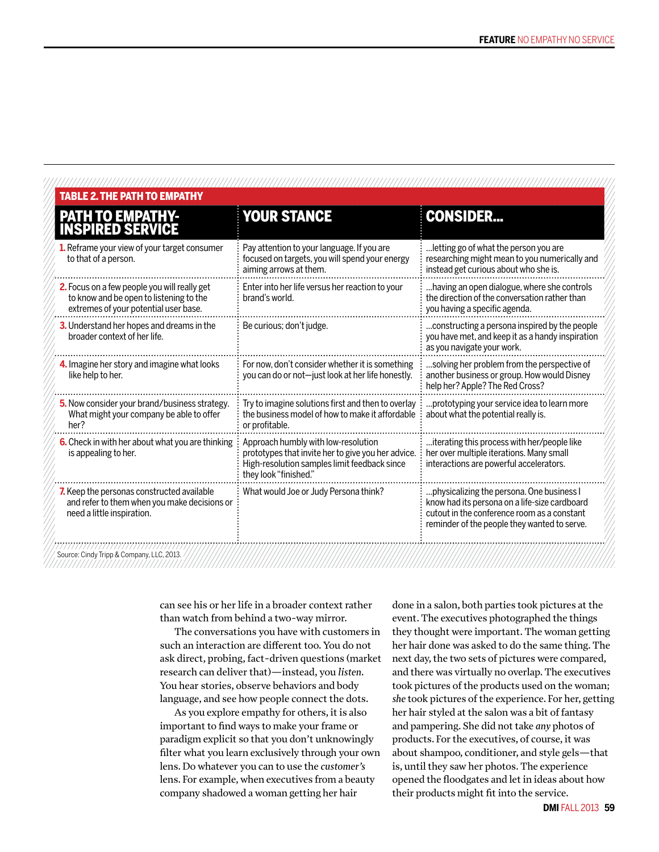| <b>PATH TO EMPATHY-<br/>INSPIRED SERVICE</b>                                                                                     | <b>YOUR STANCE</b>                                                                                                                                                 | <b>CONSIDER</b>                                                                                                                                                                           |
|----------------------------------------------------------------------------------------------------------------------------------|--------------------------------------------------------------------------------------------------------------------------------------------------------------------|-------------------------------------------------------------------------------------------------------------------------------------------------------------------------------------------|
| <b>1.</b> Reframe your view of your target consumer<br>to that of a person.                                                      | Pay attention to your language. If you are<br>focused on targets, you will spend your energy<br>aiming arrows at them.                                             | letting go of what the person you are<br>researching might mean to you numerically and<br>instead get curious about who she is.                                                           |
| 2. Focus on a few people you will really get<br>to know and be open to listening to the<br>extremes of your potential user base. | Enter into her life versus her reaction to your<br>brand's world.                                                                                                  | having an open dialogue, where she controls<br>the direction of the conversation rather than<br>you having a specific agenda.                                                             |
| 3. Understand her hopes and dreams in the<br>broader context of her life.                                                        | Be curious; don't judge.                                                                                                                                           | constructing a persona inspired by the people<br>you have met, and keep it as a handy inspiration<br>as you navigate your work.                                                           |
| 4. Imagine her story and imagine what looks<br>like help to her.                                                                 | For now, don't consider whether it is something<br>you can do or not-just look at her life honestly.                                                               | solving her problem from the perspective of<br>another business or group. How would Disney<br>help her? Apple? The Red Cross?                                                             |
| 5. Now consider your brand/business strategy.<br>What might your company be able to offer<br>her?                                | Try to imagine solutions first and then to overlay<br>the business model of how to make it affordable<br>or profitable.                                            | .prototyping your service idea to learn more<br>about what the potential really is.                                                                                                       |
| 6. Check in with her about what you are thinking<br>is appealing to her.                                                         | Approach humbly with low-resolution<br>prototypes that invite her to give you her advice.<br>High-resolution samples limit feedback since<br>they look "finished." | iterating this process with her/people like<br>her over multiple iterations. Many small<br>interactions are powerful accelerators.                                                        |
| 7. Keep the personas constructed available<br>and refer to them when you make decisions or<br>need a little inspiration.         | What would Joe or Judy Persona think?                                                                                                                              | physicalizing the persona. One business I<br>know had its persona on a life-size cardboard<br>cutout in the conference room as a constant<br>reminder of the people they wanted to serve. |

can see his or her life in a broader context rather than watch from behind a two-way mirror.

The conversations you have with customers in such an interaction are different too. You do not ask direct, probing, fact-driven questions (market research can deliver that)—instead, you *listen.* You hear stories, observe behaviors and body language, and see how people connect the dots.

As you explore empathy for others, it is also important to find ways to make your frame or paradigm explicit so that you don't unknowingly filter what you learn exclusively through your own lens. Do whatever you can to use the *customer's*  lens. For example, when executives from a beauty company shadowed a woman getting her hair

done in a salon, both parties took pictures at the event. The executives photographed the things they thought were important. The woman getting her hair done was asked to do the same thing. The next day, the two sets of pictures were compared, and there was virtually no overlap. The executives took pictures of the products used on the woman; *she* took pictures of the experience. For her, getting her hair styled at the salon was a bit of fantasy and pampering. She did not take *any* photos of products. For the executives, of course, it was about shampoo, conditioner, and style gels—that is, until they saw her photos. The experience opened the floodgates and let in ideas about how their products might fit into the service.